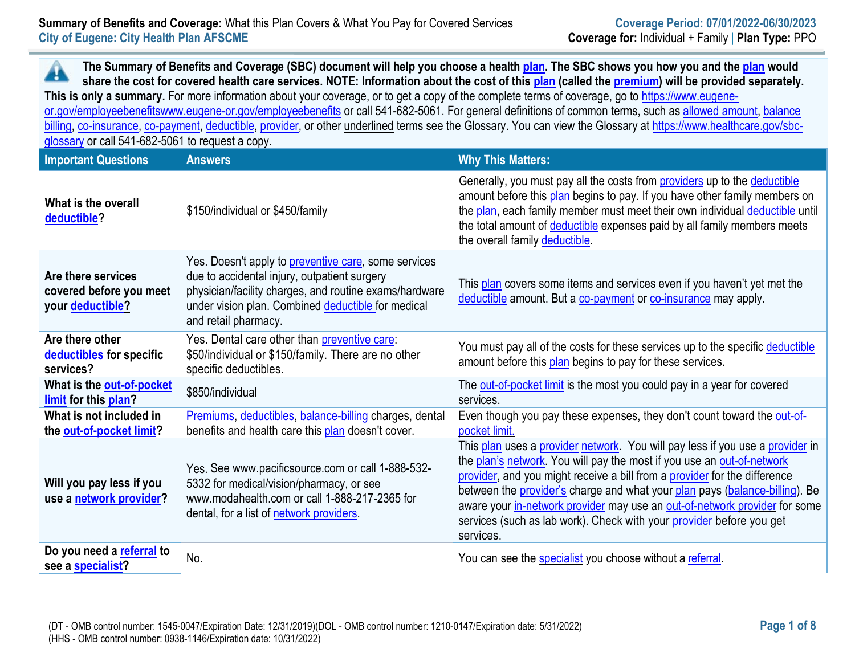## **Summary of Benefits and Coverage:** What this Plan Covers & What You Pay for Covered Services **Coverage Period: 07/01/2022-06/30/2023 City of Eugene: City Health Plan AFSCME Coverage for:** Individual + Family | **Plan Type:** PPO

**The Summary of Benefits and Coverage (SBC) document will help you choose a health [plan.](https://www.healthcare.gov/sbc-glossary/#plan) The SBC shows you how you and th[e plan](https://www.healthcare.gov/sbc-glossary/#plan) would**  Â **share the cost for covered health care services. NOTE: Information about the cost of this [plan](https://www.healthcare.gov/sbc-glossary/#plan) (called the [premium\)](https://www.healthcare.gov/sbc-glossary/#premium) will be provided separately.** This is only a summary. For more information about your coverage, or to get a copy of the complete terms of coverage, go to [https://www.eugene](https://www.eugene-or.gov/employeebenefits)[or.gov/employeebenefitswww.eugene-or.gov/employeebenefits](https://www.eugene-or.gov/employeebenefits) or call 541-682-5061. For general definitions of common terms, such a[s allowed amount,](https://www.healthcare.gov/sbc-glossary/#allowed-amount) [balance](https://www.healthcare.gov/sbc-glossary/#balance-billing)  [billing,](https://www.healthcare.gov/sbc-glossary/#balance-billing) [co-insurance,](https://www.healthcare.gov/sbc-glossary/#coinsurance) [co-payment,](https://www.healthcare.gov/sbc-glossary/#copayment) [deductible,](https://www.healthcare.gov/sbc-glossary/#deductible) [provider,](https://www.healthcare.gov/sbc-glossary/#provider) or other underlined terms see the Glossary. You can view the Glossary at [https://www.healthcare.gov/sbc](https://www.healthcare.gov/sbc-glossary)[glossary](https://www.healthcare.gov/sbc-glossary) or call 541-682-5061 to request a copy.

| <b>Important Questions</b>                                        | <b>Answers</b>                                                                                                                                                                                                                                       | <b>Why This Matters:</b>                                                                                                                                                                                                                                                                                                                                                                                                                                                               |
|-------------------------------------------------------------------|------------------------------------------------------------------------------------------------------------------------------------------------------------------------------------------------------------------------------------------------------|----------------------------------------------------------------------------------------------------------------------------------------------------------------------------------------------------------------------------------------------------------------------------------------------------------------------------------------------------------------------------------------------------------------------------------------------------------------------------------------|
| What is the overall<br>deductible?                                | \$150/individual or \$450/family                                                                                                                                                                                                                     | Generally, you must pay all the costs from providers up to the deductible<br>amount before this plan begins to pay. If you have other family members on<br>the plan, each family member must meet their own individual deductible until<br>the total amount of deductible expenses paid by all family members meets<br>the overall family deductible.                                                                                                                                  |
| Are there services<br>covered before you meet<br>your deductible? | Yes. Doesn't apply to <b>preventive care</b> , some services<br>due to accidental injury, outpatient surgery<br>physician/facility charges, and routine exams/hardware<br>under vision plan. Combined deductible for medical<br>and retail pharmacy. | This plan covers some items and services even if you haven't yet met the<br>deductible amount. But a co-payment or co-insurance may apply.                                                                                                                                                                                                                                                                                                                                             |
| Are there other<br>deductibles for specific<br>services?          | Yes. Dental care other than preventive care:<br>\$50/individual or \$150/family. There are no other<br>specific deductibles.                                                                                                                         | You must pay all of the costs for these services up to the specific deductible<br>amount before this plan begins to pay for these services.                                                                                                                                                                                                                                                                                                                                            |
| What is the out-of-pocket<br>limit for this plan?                 | \$850/individual                                                                                                                                                                                                                                     | The out-of-pocket limit is the most you could pay in a year for covered<br>services.                                                                                                                                                                                                                                                                                                                                                                                                   |
| What is not included in<br>the out-of-pocket limit?               | Premiums, deductibles, balance-billing charges, dental<br>benefits and health care this plan doesn't cover.                                                                                                                                          | Even though you pay these expenses, they don't count toward the out-of-<br>pocket limit.                                                                                                                                                                                                                                                                                                                                                                                               |
| Will you pay less if you<br>use a network provider?               | Yes. See www.pacificsource.com or call 1-888-532-<br>5332 for medical/vision/pharmacy, or see<br>www.modahealth.com or call 1-888-217-2365 for<br>dental, for a list of network providers.                                                           | This plan uses a provider network. You will pay less if you use a provider in<br>the plan's network. You will pay the most if you use an out-of-network<br>provider, and you might receive a bill from a provider for the difference<br>between the provider's charge and what your plan pays (balance-billing). Be<br>aware your in-network provider may use an out-of-network provider for some<br>services (such as lab work). Check with your provider before you get<br>services. |
| Do you need a referral to<br>see a specialist?                    | No.                                                                                                                                                                                                                                                  | You can see the specialist you choose without a referral.                                                                                                                                                                                                                                                                                                                                                                                                                              |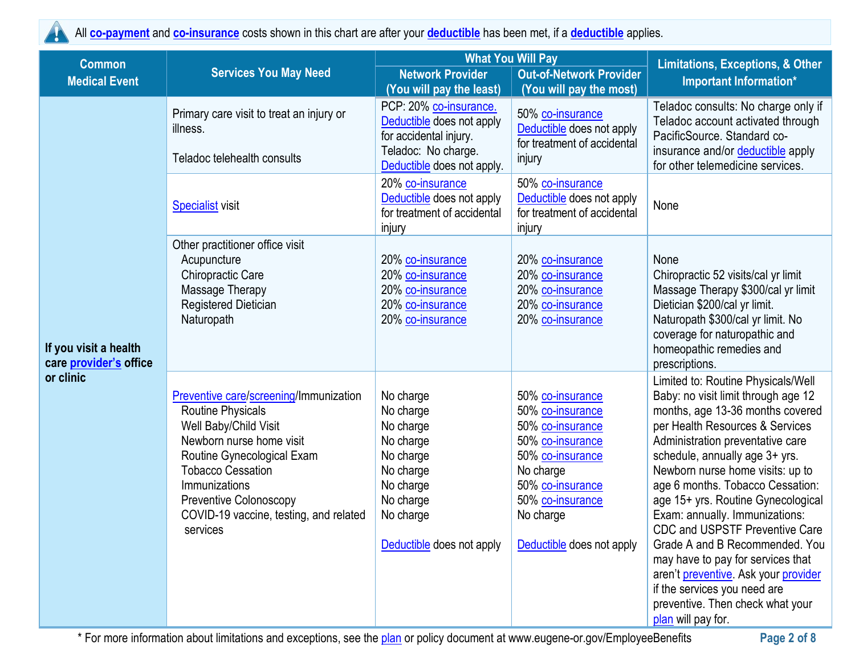

All **[co-payment](https://www.healthcare.gov/sbc-glossary/#copayment)** and **[co-insurance](https://www.healthcare.gov/sbc-glossary/#coinsurance)** costs shown in this chart are after your **[deductible](https://www.healthcare.gov/sbc-glossary/#deductible)** has been met, if a **[deductible](https://www.healthcare.gov/sbc-glossary/#deductible)** applies.

| <b>Common</b>                                          |                                                                                                                                                                                                                                                                                           | <b>What You Will Pay</b>                                                                                                                       | <b>Limitations, Exceptions, &amp; Other</b>                                                                                                                                                     |                                                                                                                                                                                                                                                                                                                                                                                                                                                                                                                                                                                                                   |
|--------------------------------------------------------|-------------------------------------------------------------------------------------------------------------------------------------------------------------------------------------------------------------------------------------------------------------------------------------------|------------------------------------------------------------------------------------------------------------------------------------------------|-------------------------------------------------------------------------------------------------------------------------------------------------------------------------------------------------|-------------------------------------------------------------------------------------------------------------------------------------------------------------------------------------------------------------------------------------------------------------------------------------------------------------------------------------------------------------------------------------------------------------------------------------------------------------------------------------------------------------------------------------------------------------------------------------------------------------------|
| <b>Medical Event</b>                                   | <b>Services You May Need</b>                                                                                                                                                                                                                                                              | <b>Network Provider</b><br>(You will pay the least)                                                                                            | <b>Out-of-Network Provider</b><br>(You will pay the most)                                                                                                                                       | Important Information*                                                                                                                                                                                                                                                                                                                                                                                                                                                                                                                                                                                            |
|                                                        | Primary care visit to treat an injury or<br>illness.<br>Teladoc telehealth consults                                                                                                                                                                                                       | PCP: 20% co-insurance.<br>Deductible does not apply<br>for accidental injury.<br>Teladoc: No charge.<br>Deductible does not apply.             | 50% co-insurance<br>Deductible does not apply<br>for treatment of accidental<br>injury                                                                                                          | Teladoc consults: No charge only if<br>Teladoc account activated through<br>PacificSource. Standard co-<br>insurance and/or deductible apply<br>for other telemedicine services.                                                                                                                                                                                                                                                                                                                                                                                                                                  |
|                                                        | <b>Specialist</b> visit                                                                                                                                                                                                                                                                   | 20% co-insurance<br>Deductible does not apply<br>for treatment of accidental<br>injury                                                         | 50% co-insurance<br>Deductible does not apply<br>for treatment of accidental<br>injury                                                                                                          | None                                                                                                                                                                                                                                                                                                                                                                                                                                                                                                                                                                                                              |
| If you visit a health<br>care <i>provider's</i> office | Other practitioner office visit<br>Acupuncture<br><b>Chiropractic Care</b><br>Massage Therapy<br>Registered Dietician<br>Naturopath                                                                                                                                                       | 20% co-insurance<br>20% co-insurance<br>20% co-insurance<br>20% co-insurance<br>20% co-insurance                                               | 20% co-insurance<br>20% co-insurance<br>20% co-insurance<br>20% co-insurance<br>20% co-insurance                                                                                                | None<br>Chiropractic 52 visits/cal yr limit<br>Massage Therapy \$300/cal yr limit<br>Dietician \$200/cal yr limit.<br>Naturopath \$300/cal yr limit. No<br>coverage for naturopathic and<br>homeopathic remedies and<br>prescriptions.                                                                                                                                                                                                                                                                                                                                                                            |
| or clinic                                              | Preventive care/screening/Immunization<br><b>Routine Physicals</b><br>Well Baby/Child Visit<br>Newborn nurse home visit<br>Routine Gynecological Exam<br><b>Tobacco Cessation</b><br>Immunizations<br><b>Preventive Colonoscopy</b><br>COVID-19 vaccine, testing, and related<br>services | No charge<br>No charge<br>No charge<br>No charge<br>No charge<br>No charge<br>No charge<br>No charge<br>No charge<br>Deductible does not apply | 50% co-insurance<br>50% co-insurance<br>50% co-insurance<br>50% co-insurance<br>50% co-insurance<br>No charge<br>50% co-insurance<br>50% co-insurance<br>No charge<br>Deductible does not apply | Limited to: Routine Physicals/Well<br>Baby: no visit limit through age 12<br>months, age 13-36 months covered<br>per Health Resources & Services<br>Administration preventative care<br>schedule, annually age 3+ yrs.<br>Newborn nurse home visits: up to<br>age 6 months. Tobacco Cessation:<br>age 15+ yrs. Routine Gynecological<br>Exam: annually. Immunizations:<br>CDC and USPSTF Preventive Care<br>Grade A and B Recommended. You<br>may have to pay for services that<br>aren't preventive. Ask your provider<br>if the services you need are<br>preventive. Then check what your<br>plan will pay for. |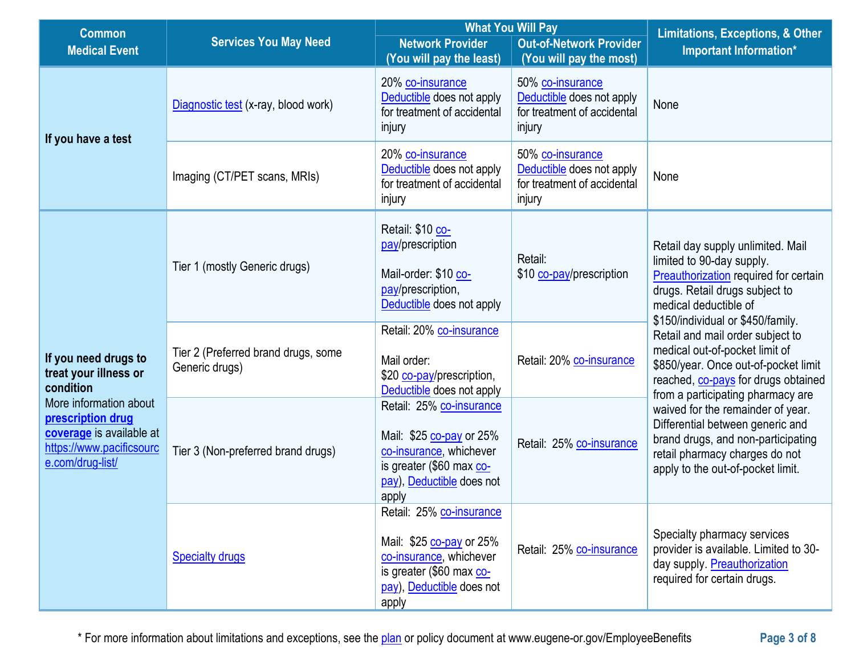| <b>Common</b>                                                                                                                                                                         |                                                       | <b>What You Will Pay</b>                                                                                                                          |                                                                                        | <b>Limitations, Exceptions, &amp; Other</b>                                                                                                                                                                                 |  |
|---------------------------------------------------------------------------------------------------------------------------------------------------------------------------------------|-------------------------------------------------------|---------------------------------------------------------------------------------------------------------------------------------------------------|----------------------------------------------------------------------------------------|-----------------------------------------------------------------------------------------------------------------------------------------------------------------------------------------------------------------------------|--|
| <b>Medical Event</b>                                                                                                                                                                  | <b>Services You May Need</b>                          | <b>Network Provider</b><br>(You will pay the least)                                                                                               | <b>Out-of-Network Provider</b><br>(You will pay the most)                              | <b>Important Information*</b>                                                                                                                                                                                               |  |
|                                                                                                                                                                                       | Diagnostic test (x-ray, blood work)                   | 20% co-insurance<br>Deductible does not apply<br>for treatment of accidental<br>injury                                                            | 50% co-insurance<br>Deductible does not apply<br>for treatment of accidental<br>injury | None                                                                                                                                                                                                                        |  |
| If you have a test                                                                                                                                                                    | Imaging (CT/PET scans, MRIs)                          | 20% co-insurance<br>Deductible does not apply<br>for treatment of accidental<br>injury                                                            | 50% co-insurance<br>Deductible does not apply<br>for treatment of accidental<br>injury | None                                                                                                                                                                                                                        |  |
|                                                                                                                                                                                       | Tier 1 (mostly Generic drugs)                         | Retail: \$10 co-<br>pay/prescription<br>Mail-order: \$10 co-<br>pay/prescription,<br>Deductible does not apply                                    | Retail:<br>\$10 co-pay/prescription                                                    | Retail day supply unlimited. Mail<br>limited to 90-day supply.<br>Preauthorization required for certain<br>drugs. Retail drugs subject to<br>medical deductible of                                                          |  |
| If you need drugs to<br>treat your illness or<br>condition<br>More information about<br>prescription drug<br>coverage is available at<br>https://www.pacificsourc<br>e.com/drug-list/ | Tier 2 (Preferred brand drugs, some<br>Generic drugs) | Retail: 20% co-insurance<br>Mail order:<br>\$20 co-pay/prescription,<br>Deductible does not apply                                                 | Retail: 20% co-insurance                                                               | \$150/individual or \$450/family.<br>Retail and mail order subject to<br>medical out-of-pocket limit of<br>\$850/year. Once out-of-pocket limit<br>reached, co-pays for drugs obtained<br>from a participating pharmacy are |  |
|                                                                                                                                                                                       | Tier 3 (Non-preferred brand drugs)                    | Retail: 25% co-insurance<br>Mail: \$25 co-pay or 25%<br>co-insurance, whichever<br>is greater (\$60 max co-<br>pay), Deductible does not<br>apply | Retail: 25% co-insurance                                                               | waived for the remainder of year.<br>Differential between generic and<br>brand drugs, and non-participating<br>retail pharmacy charges do not<br>apply to the out-of-pocket limit.                                          |  |
|                                                                                                                                                                                       | <b>Specialty drugs</b>                                | Retail: 25% co-insurance<br>Mail: \$25 co-pay or 25%<br>co-insurance, whichever<br>is greater (\$60 max co-<br>pay), Deductible does not<br>apply | Retail: 25% co-insurance                                                               | Specialty pharmacy services<br>provider is available. Limited to 30-<br>day supply. Preauthorization<br>required for certain drugs.                                                                                         |  |

\* For more information about limitations and exceptions, see the [plan](https://www.healthcare.gov/sbc-glossary/#plan) or policy document at www.eugene-or.gov/EmployeeBenefits **Page 3 of 8**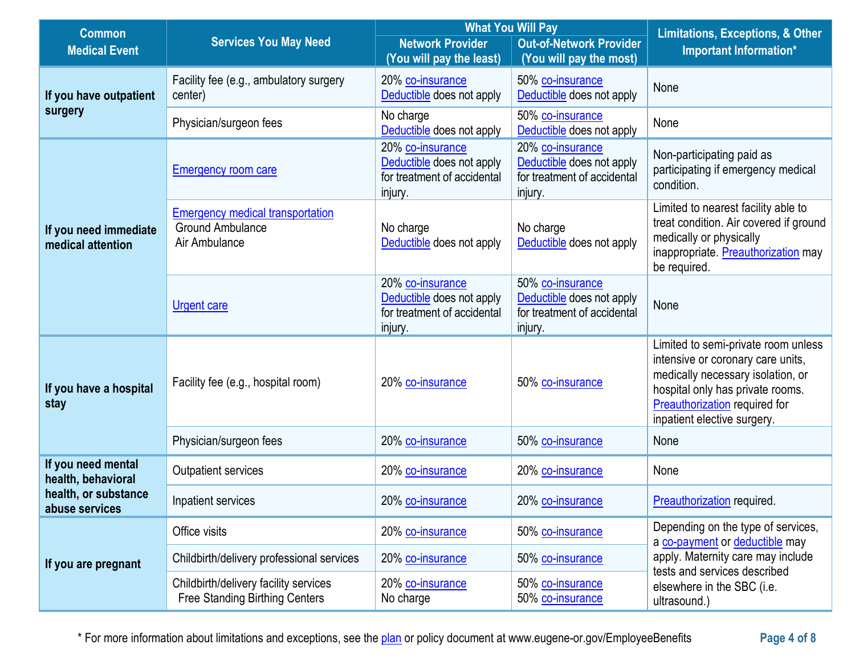| <b>Common</b>                              |                                                                                     | <b>What You Will Pay</b>                                                                |                                                                                         | <b>Limitations, Exceptions, &amp; Other</b>                                                                                                                                                                              |  |
|--------------------------------------------|-------------------------------------------------------------------------------------|-----------------------------------------------------------------------------------------|-----------------------------------------------------------------------------------------|--------------------------------------------------------------------------------------------------------------------------------------------------------------------------------------------------------------------------|--|
| <b>Medical Event</b>                       | <b>Services You May Need</b>                                                        | <b>Network Provider</b>                                                                 | <b>Out-of-Network Provider</b>                                                          | Important Information*                                                                                                                                                                                                   |  |
|                                            |                                                                                     | (You will pay the least)                                                                | (You will pay the most)                                                                 |                                                                                                                                                                                                                          |  |
| If you have outpatient                     | Facility fee (e.g., ambulatory surgery<br>center)                                   | 20% co-insurance<br>Deductible does not apply                                           | 50% co-insurance<br>Deductible does not apply                                           | None                                                                                                                                                                                                                     |  |
| surgery                                    | Physician/surgeon fees                                                              | No charge<br>Deductible does not apply                                                  | 50% co-insurance<br>Deductible does not apply                                           | None                                                                                                                                                                                                                     |  |
|                                            | <b>Emergency room care</b>                                                          | 20% co-insurance<br>Deductible does not apply<br>for treatment of accidental<br>injury. | 20% co-insurance<br>Deductible does not apply<br>for treatment of accidental<br>injury. | Non-participating paid as<br>participating if emergency medical<br>condition.                                                                                                                                            |  |
| If you need immediate<br>medical attention | <b>Emergency medical transportation</b><br><b>Ground Ambulance</b><br>Air Ambulance | No charge<br>Deductible does not apply                                                  | No charge<br>Deductible does not apply                                                  | Limited to nearest facility able to<br>treat condition. Air covered if ground<br>medically or physically<br>inappropriate. Preauthorization may<br>be required.                                                          |  |
|                                            | <b>Urgent care</b>                                                                  | 20% co-insurance<br>Deductible does not apply<br>for treatment of accidental<br>injury. | 50% co-insurance<br>Deductible does not apply<br>for treatment of accidental<br>injury. | None                                                                                                                                                                                                                     |  |
| If you have a hospital<br>stay             | Facility fee (e.g., hospital room)                                                  | 20% co-insurance                                                                        | 50% co-insurance                                                                        | Limited to semi-private room unless<br>intensive or coronary care units,<br>medically necessary isolation, or<br>hospital only has private rooms.<br><b>Preauthorization</b> required for<br>inpatient elective surgery. |  |
|                                            | Physician/surgeon fees                                                              | 20% co-insurance                                                                        | 50% co-insurance                                                                        | None                                                                                                                                                                                                                     |  |
| If you need mental<br>health, behavioral   | Outpatient services                                                                 | 20% co-insurance                                                                        | 20% co-insurance                                                                        | None                                                                                                                                                                                                                     |  |
| health, or substance<br>abuse services     | Inpatient services                                                                  | 20% co-insurance                                                                        | 20% co-insurance                                                                        | Preauthorization required.                                                                                                                                                                                               |  |
|                                            | Office visits                                                                       | 20% co-insurance                                                                        | 50% co-insurance                                                                        | Depending on the type of services,<br>a co-payment or deductible may                                                                                                                                                     |  |
| If you are pregnant                        | Childbirth/delivery professional services                                           | 20% co-insurance                                                                        | 50% co-insurance                                                                        | apply. Maternity care may include<br>tests and services described                                                                                                                                                        |  |
|                                            | Childbirth/delivery facility services<br><b>Free Standing Birthing Centers</b>      | 20% co-insurance<br>No charge                                                           | 50% co-insurance<br>50% co-insurance                                                    | elsewhere in the SBC (i.e.<br>ultrasound.)                                                                                                                                                                               |  |

\* For more information about limitations and exceptions, see the [plan](https://www.healthcare.gov/sbc-glossary/#plan) or policy document at www.eugene-or.gov/EmployeeBenefits **Page 4 of 8**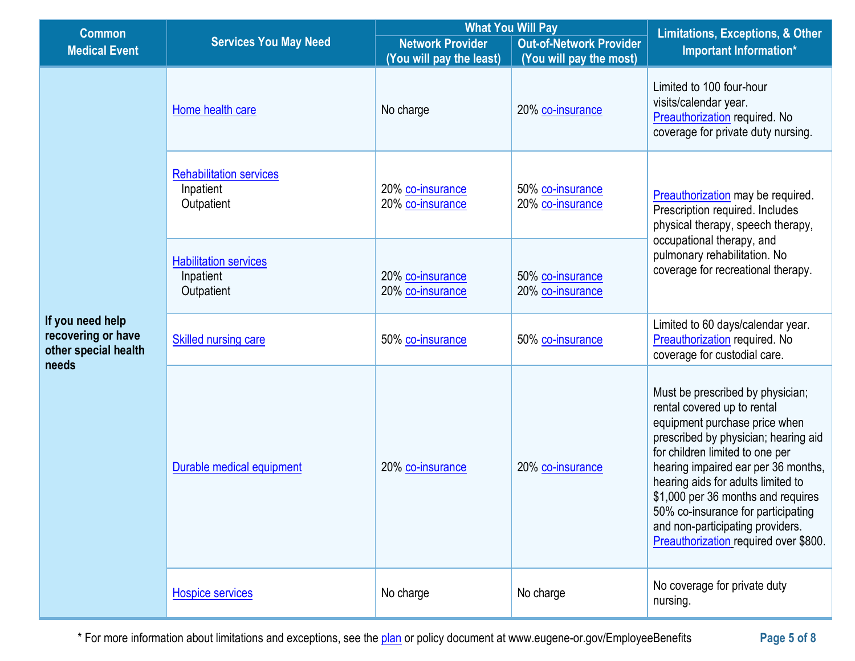| <b>Common</b>                                                           |                                                           | <b>What You Will Pay</b>                            |                                                           | <b>Limitations, Exceptions, &amp; Other</b>                                                                                                                                                                                                                                                                                                                                                                       |  |
|-------------------------------------------------------------------------|-----------------------------------------------------------|-----------------------------------------------------|-----------------------------------------------------------|-------------------------------------------------------------------------------------------------------------------------------------------------------------------------------------------------------------------------------------------------------------------------------------------------------------------------------------------------------------------------------------------------------------------|--|
| <b>Medical Event</b>                                                    | <b>Services You May Need</b>                              | <b>Network Provider</b><br>(You will pay the least) | <b>Out-of-Network Provider</b><br>(You will pay the most) | Important Information*                                                                                                                                                                                                                                                                                                                                                                                            |  |
|                                                                         | Home health care                                          | No charge                                           | 20% co-insurance                                          | Limited to 100 four-hour<br>visits/calendar year.<br>Preauthorization required. No<br>coverage for private duty nursing.                                                                                                                                                                                                                                                                                          |  |
|                                                                         | <b>Rehabilitation services</b><br>Inpatient<br>Outpatient | 20% co-insurance<br>20% co-insurance                | 50% co-insurance<br>20% co-insurance                      | Preauthorization may be required.<br>Prescription required. Includes<br>physical therapy, speech therapy,                                                                                                                                                                                                                                                                                                         |  |
|                                                                         | <b>Habilitation services</b><br>Inpatient<br>Outpatient   | 20% co-insurance<br>20% co-insurance                | 50% co-insurance<br>20% co-insurance                      | occupational therapy, and<br>pulmonary rehabilitation. No<br>coverage for recreational therapy.                                                                                                                                                                                                                                                                                                                   |  |
| If you need help<br>recovering or have<br>other special health<br>needs | <b>Skilled nursing care</b>                               | 50% co-insurance                                    | 50% co-insurance                                          | Limited to 60 days/calendar year.<br>Preauthorization required. No<br>coverage for custodial care.                                                                                                                                                                                                                                                                                                                |  |
|                                                                         | Durable medical equipment                                 | 20% co-insurance                                    | 20% co-insurance                                          | Must be prescribed by physician;<br>rental covered up to rental<br>equipment purchase price when<br>prescribed by physician; hearing aid<br>for children limited to one per<br>hearing impaired ear per 36 months,<br>hearing aids for adults limited to<br>\$1,000 per 36 months and requires<br>50% co-insurance for participating<br>and non-participating providers.<br>Preauthorization required over \$800. |  |
|                                                                         | <b>Hospice services</b>                                   | No charge                                           | No charge                                                 | No coverage for private duty<br>nursing.                                                                                                                                                                                                                                                                                                                                                                          |  |

\* For more information about limitations and exceptions, see the [plan](https://www.healthcare.gov/sbc-glossary/#plan) or policy document at www.eugene-or.gov/EmployeeBenefits **Page 5 of 8**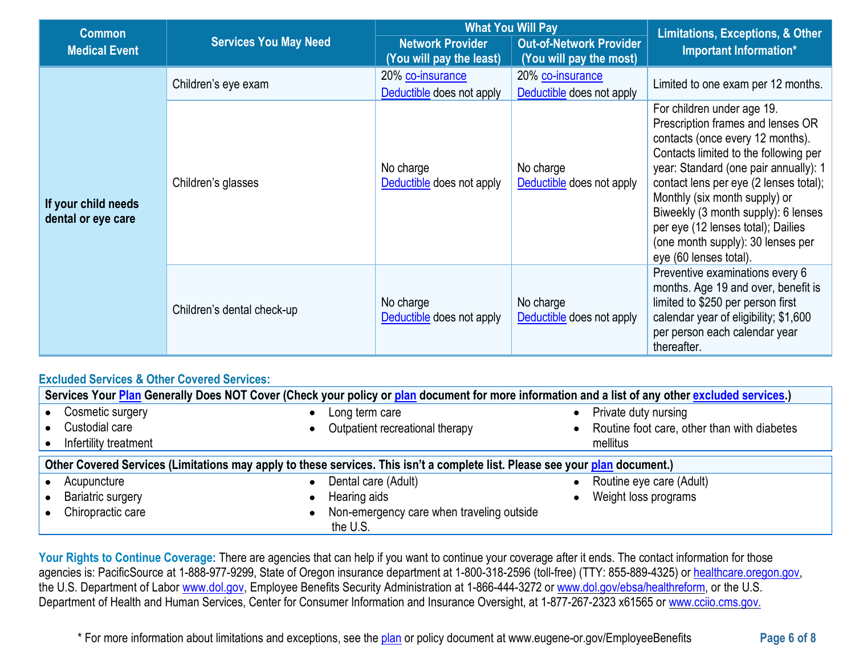| <b>Common</b>                             |                              | <b>What You Will Pay</b>                                                                                         |                                               | <b>Limitations, Exceptions, &amp; Other</b>                                                                                                                                                                                                                                                                                                                                                                  |  |
|-------------------------------------------|------------------------------|------------------------------------------------------------------------------------------------------------------|-----------------------------------------------|--------------------------------------------------------------------------------------------------------------------------------------------------------------------------------------------------------------------------------------------------------------------------------------------------------------------------------------------------------------------------------------------------------------|--|
| <b>Medical Event</b>                      | <b>Services You May Need</b> | <b>Network Provider</b><br><b>Out-of-Network Provider</b><br>(You will pay the least)<br>(You will pay the most) |                                               | Important Information*                                                                                                                                                                                                                                                                                                                                                                                       |  |
|                                           | Children's eye exam          | 20% co-insurance<br>Deductible does not apply                                                                    | 20% co-insurance<br>Deductible does not apply | Limited to one exam per 12 months.                                                                                                                                                                                                                                                                                                                                                                           |  |
| If your child needs<br>dental or eye care | Children's glasses           | No charge<br>Deductible does not apply                                                                           | No charge<br>Deductible does not apply        | For children under age 19.<br>Prescription frames and lenses OR<br>contacts (once every 12 months).<br>Contacts limited to the following per<br>year: Standard (one pair annually): 1<br>contact lens per eye (2 lenses total);<br>Monthly (six month supply) or<br>Biweekly (3 month supply): 6 lenses<br>per eye (12 lenses total); Dailies<br>(one month supply): 30 lenses per<br>eye (60 lenses total). |  |
|                                           | Children's dental check-up   | No charge<br>Deductible does not apply                                                                           | No charge<br>Deductible does not apply        | Preventive examinations every 6<br>months. Age 19 and over, benefit is<br>limited to \$250 per person first<br>calendar year of eligibility; \$1,600<br>per person each calendar year<br>thereafter.                                                                                                                                                                                                         |  |

# **Excluded Services & Other Covered Services:**

| Services Your Plan Generally Does NOT Cover (Check your policy or plan document for more information and a list of any other excluded services.) |                                           |                                             |  |
|--------------------------------------------------------------------------------------------------------------------------------------------------|-------------------------------------------|---------------------------------------------|--|
| Cosmetic surgery<br>$\bullet$                                                                                                                    | Long term care                            | Private duty nursing                        |  |
| Custodial care                                                                                                                                   | Outpatient recreational therapy           | Routine foot care, other than with diabetes |  |
| Infertility treatment                                                                                                                            |                                           | mellitus                                    |  |
| Other Covered Services (Limitations may apply to these services. This isn't a complete list. Please see your plan document.)                     |                                           |                                             |  |
| Acupuncture<br>$\bullet$                                                                                                                         | Dental care (Adult)                       | Routine eye care (Adult)                    |  |
| <b>Bariatric surgery</b>                                                                                                                         | Hearing aids                              | Weight loss programs                        |  |
| Chiropractic care                                                                                                                                | Non-emergency care when traveling outside |                                             |  |
|                                                                                                                                                  | the U.S.                                  |                                             |  |

Your Rights to Continue Coverage: There are agencies that can help if you want to continue your coverage after it ends. The contact information for those agencies is: PacificSource at 1-888-977-9299, State of Oregon insurance department at 1-800-318-2596 (toll-free) (TTY: 855-889-4325) or [healthcare.oregon.gov,](http://healthcare.oregon.gov/Pages/index.aspx) the U.S. Department of Labor [www.dol.gov,](https://www.dol.gov/) Employee Benefits Security Administration at 1-866-444-3272 or [www.dol.gov/ebsa/healthreform,](https://www.dol.gov/agencies/ebsa) or the U.S. Department of Health and Human Services, Center for Consumer Information and Insurance Oversight, at 1-877-267-2323 x61565 or [www.cciio.cms.gov.](http://www.cciio.cms.gov./)

\* For more information about limitations and exceptions, see the [plan](https://www.healthcare.gov/sbc-glossary/#plan) or policy document at www.eugene-or.gov/EmployeeBenefits **Page 6 of 8**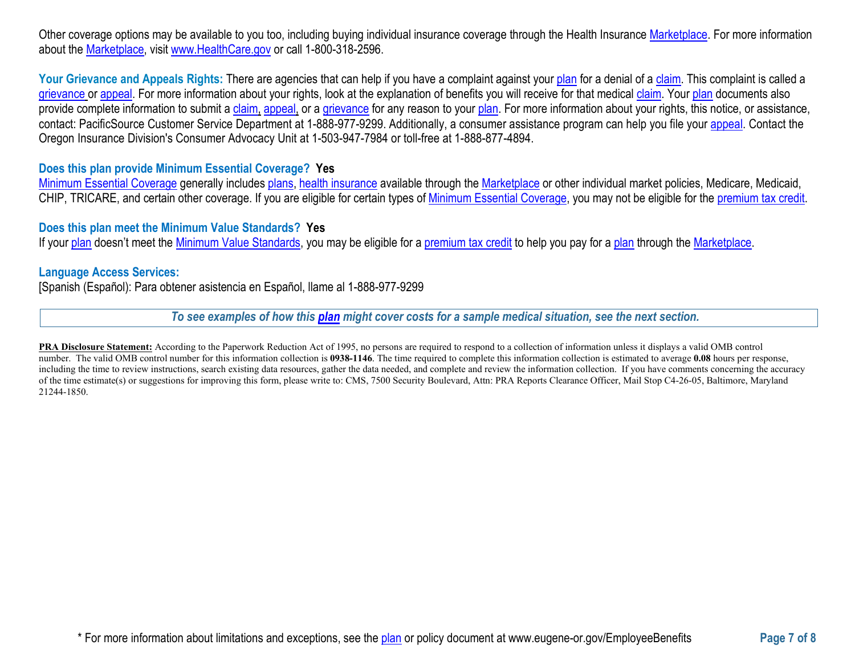Other coverage options may be available to you too, including buying individual insurance coverage through the Health Insurance [Marketplace.](https://www.healthcare.gov/sbc-glossary/#marketplace) For more information about the [Marketplace,](https://www.healthcare.gov/sbc-glossary/#marketplace) visit [www.HealthCare.gov](http://www.healthcare.gov/) or call 1-800-318-2596.

Your Grievance and Appeals Rights: There are agencies that can help if you have a complaint against you[r plan](https://www.healthcare.gov/sbc-glossary/#plan) for a denial of a [claim.](https://www.healthcare.gov/sbc-glossary/#claim) This complaint is called a [grievance](https://www.healthcare.gov/sbc-glossary/#grievance) or [appeal.](https://www.healthcare.gov/sbc-glossary/#appeal) For more information about your rights, look at the explanation of benefits you will receive for that medica[l claim.](https://www.healthcare.gov/sbc-glossary/#claim) Your [plan](https://www.healthcare.gov/sbc-glossary/#plan) documents also provide complete information to submit a [claim,](https://www.healthcare.gov/sbc-glossary/#claim) [appeal,](https://www.healthcare.gov/sbc-glossary/#appeal) or a [grievance](https://www.healthcare.gov/sbc-glossary/#grievance) for any reason to your [plan.](https://www.healthcare.gov/sbc-glossary/#plan) For more information about your rights, this notice, or assistance, contact: PacificSource Customer Service Department at 1-888-977-9299. Additionally, a consumer assistance program can help you file your [appeal.](https://www.healthcare.gov/sbc-glossary/#appeal) Contact the Oregon Insurance Division's Consumer Advocacy Unit at 1-503-947-7984 or toll-free at 1-888-877-4894.

## **Does this plan provide Minimum Essential Coverage? Yes**

[Minimum Essential Coverage](https://www.healthcare.gov/sbc-glossary/#minimum-essential-coverage) generally includes [plans,](https://www.healthcare.gov/sbc-glossary/#plan) [health insurance](https://www.healthcare.gov/sbc-glossary/#health-insurance) available through the [Marketplace](https://www.healthcare.gov/sbc-glossary/#marketplace) or other individual market policies, Medicare, Medicaid, CHIP, TRICARE, and certain other coverage. If you are eligible for certain types of [Minimum Essential Coverage,](https://www.healthcare.gov/sbc-glossary/#minimum-essential-coverage) you may not be eligible for the [premium tax credit.](https://www.healthcare.gov/sbc-glossary/#premium-tax-credits)

#### **Does this plan meet the Minimum Value Standards? Yes**

If your [plan](https://www.healthcare.gov/sbc-glossary/#plan) doesn't meet the [Minimum Value Standards,](https://www.healthcare.gov/sbc-glossary/#minimum-value-standard) you may be eligible for a [premium tax credit](https://www.healthcare.gov/sbc-glossary/#premium-tax-credits) to help you pay for a plan through the Marketplace.

#### **Language Access Services:**

[Spanish (Español): Para obtener asistencia en Español, llame al 1-888-977-9299

*To see examples of how this [plan](https://www.healthcare.gov/sbc-glossary/#plan) might cover costs for a sample medical situation, see the next section.*

**PRA Disclosure Statement:** According to the Paperwork Reduction Act of 1995, no persons are required to respond to a collection of information unless it displays a valid OMB control number. The valid OMB control number for this information collection is **0938-1146**. The time required to complete this information collection is estimated to average **0.08** hours per response, including the time to review instructions, search existing data resources, gather the data needed, and complete and review the information collection. If you have comments concerning the accuracy of the time estimate(s) or suggestions for improving this form, please write to: CMS, 7500 Security Boulevard, Attn: PRA Reports Clearance Officer, Mail Stop C4-26-05, Baltimore, Maryland 21244-1850.